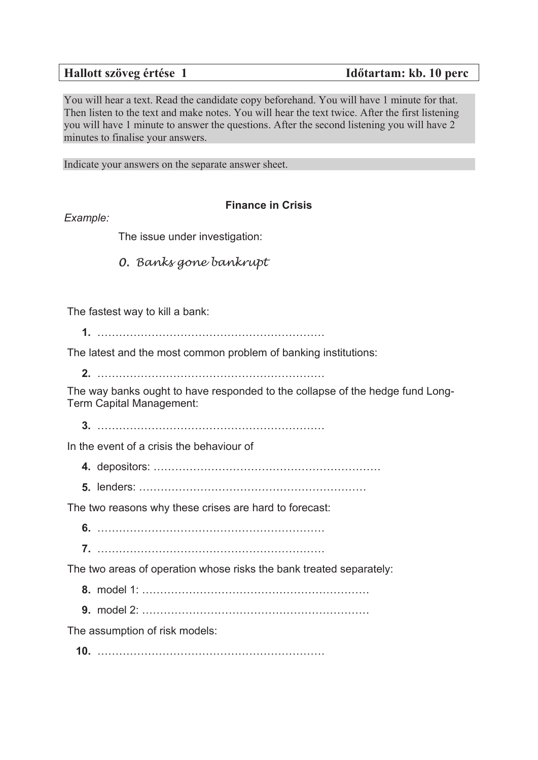You will hear a text. Read the candidate copy beforehand. You will have 1 minute for that. Then listen to the text and make notes. You will hear the text twice. After the first listening you will have 1 minute to answer the questions. After the second listening you will have 2 minutes to finalise your answers.

Indicate your answers on the separate answer sheet.

## **Finance in Crisis**

*Example:*

The issue under investigation:

*0. Banks gone bankrupt* 

The fastest way to kill a bank:

**1.** ………………………………………………………

The latest and the most common problem of banking institutions:

**2.** ………………………………………………………

The way banks ought to have responded to the collapse of the hedge fund Long-Term Capital Management:

**3.** ………………………………………………………

In the event of a crisis the behaviour of

**4.** depositors: ………………………………………………………

**5.** lenders: ………………………………………………………

The two reasons why these crises are hard to forecast:

**6.** ………………………………………………………

**7.** ………………………………………………………

The two areas of operation whose risks the bank treated separately:

- **8.** model 1: ………………………………………………………
- **9.** model 2: ………………………………………………………

The assumption of risk models:

**10.** ………………………………………………………